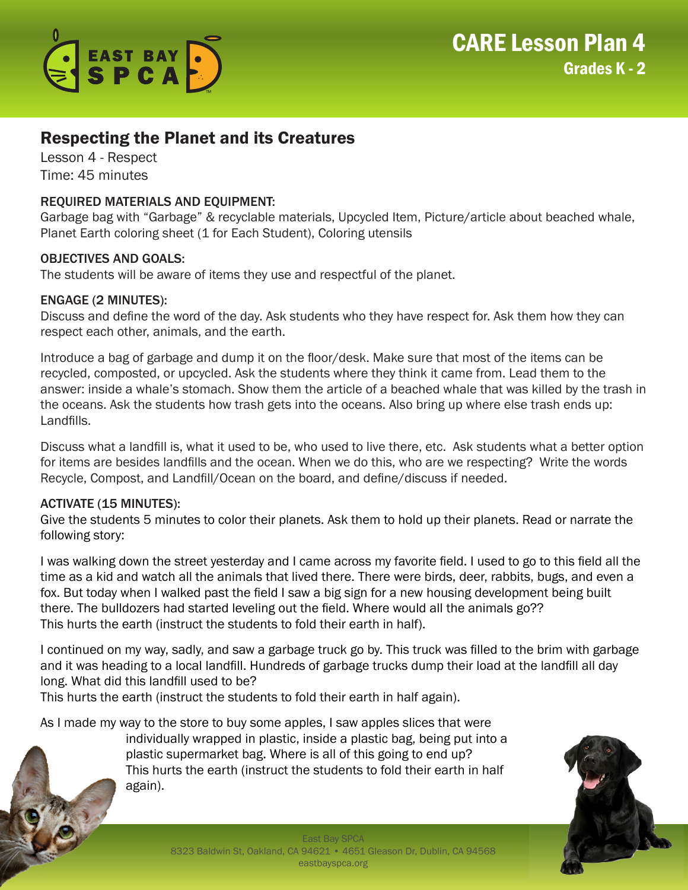

# Respecting the Planet and its Creatures

Lesson 4 - Respect Time: 45 minutes

## REQUIRED MATERIALS AND EQUIPMENT:

Garbage bag with "Garbage" & recyclable materials, Upcycled Item, Picture/article about beached whale, Planet Earth coloring sheet (1 for Each Student), Coloring utensils

## OBJECTIVES AND GOALS:

The students will be aware of items they use and respectful of the planet.

## ENGAGE (2 MINUTES):

Discuss and define the word of the day. Ask students who they have respect for. Ask them how they can respect each other, animals, and the earth.

Introduce a bag of garbage and dump it on the floor/desk. Make sure that most of the items can be recycled, composted, or upcycled. Ask the students where they think it came from. Lead them to the answer: inside a whale's stomach. Show them the article of a beached whale that was killed by the trash in the oceans. Ask the students how trash gets into the oceans. Also bring up where else trash ends up: Landfills.

Discuss what a landfill is, what it used to be, who used to live there, etc. Ask students what a better option for items are besides landfills and the ocean. When we do this, who are we respecting? Write the words Recycle, Compost, and Landfill/Ocean on the board, and define/discuss if needed.

## ACTIVATE (15 MINUTES):

Give the students 5 minutes to color their planets. Ask them to hold up their planets. Read or narrate the following story:

I was walking down the street yesterday and I came across my favorite field. I used to go to this field all the time as a kid and watch all the animals that lived there. There were birds, deer, rabbits, bugs, and even a fox. But today when I walked past the field I saw a big sign for a new housing development being built there. The bulldozers had started leveling out the field. Where would all the animals go?? This hurts the earth (instruct the students to fold their earth in half).

I continued on my way, sadly, and saw a garbage truck go by. This truck was filled to the brim with garbage and it was heading to a local landfill. Hundreds of garbage trucks dump their load at the landfill all day long. What did this landfill used to be?

This hurts the earth (instruct the students to fold their earth in half again).

As I made my way to the store to buy some apples, I saw apples slices that were

individually wrapped in plastic, inside a plastic bag, being put into a plastic supermarket bag. Where is all of this going to end up? This hurts the earth (instruct the students to fold their earth in half again).